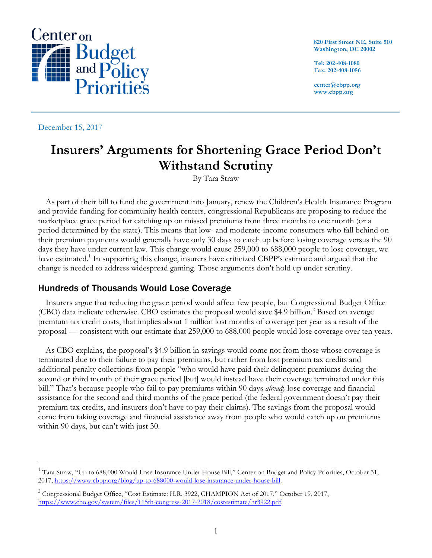

**820 First Street NE, Suite 510 Washington, DC 20002**

**Tel: 202-408-1080 Fax: 202-408-1056**

**center@cbpp.org www.cbpp.org**

December 15, 2017

# **Insurers' Arguments for Shortening Grace Period Don't Withstand Scrutiny**

By Tara Straw

As part of their bill to fund the government into January, renew the Children's Health Insurance Program and provide funding for community health centers, congressional Republicans are proposing to reduce the marketplace grace period for catching up on missed premiums from three months to one month (or a period determined by the state). This means that low- and moderate-income consumers who fall behind on their premium payments would generally have only 30 days to catch up before losing coverage versus the 90 days they have under current law. This change would cause 259,000 to 688,000 people to lose coverage, we have estimated.<sup>1</sup> In supporting this change, insurers have criticized CBPP's estimate and argued that the change is needed to address widespread gaming. Those arguments don't hold up under scrutiny.

## Hundreds of Thousands Would Lose Coverage

Insurers argue that reducing the grace period would affect few people, but Congressional Budget Office (CBO) data indicate otherwise. CBO estimates the proposal would save \$4.9 billion.2 Based on average premium tax credit costs, that implies about 1 million lost months of coverage per year as a result of the proposal — consistent with our estimate that 259,000 to 688,000 people would lose coverage over ten years.

As CBO explains, the proposal's \$4.9 billion in savings would come not from those whose coverage is terminated due to their failure to pay their premiums, but rather from lost premium tax credits and additional penalty collections from people "who would have paid their delinquent premiums during the second or third month of their grace period [but] would instead have their coverage terminated under this bill." That's because people who fail to pay premiums within 90 days *already* lose coverage and financial assistance for the second and third months of the grace period (the federal government doesn't pay their premium tax credits, and insurers don't have to pay their claims). The savings from the proposal would come from taking coverage and financial assistance away from people who would catch up on premiums within 90 days, but can't with just 30.

 $1$  Tara Straw, "Up to 688,000 Would Lose Insurance Under House Bill," Center on Budget and Policy Priorities, October 31, 2017, https://www.cbpp.org/blog/up-to-688000-would-lose-insurance-under-house-bill.

<sup>&</sup>lt;sup>2</sup> Congressional Budget Office, "Cost Estimate: H.R. 3922, CHAMPION Act of 2017," October 19, 2017, https://www.cbo.gov/system/files/115th-congress-2017-2018/costestimate/hr3922.pdf.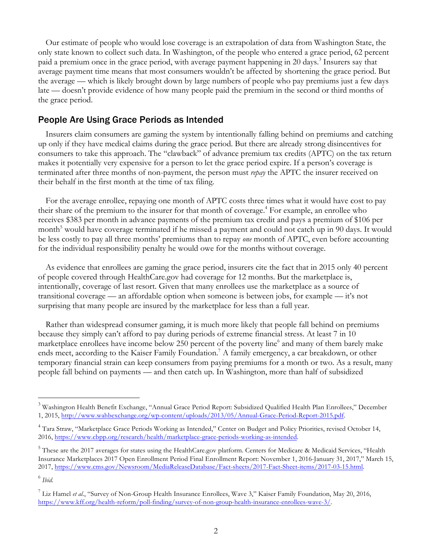Our estimate of people who would lose coverage is an extrapolation of data from Washington State, the only state known to collect such data. In Washington, of the people who entered a grace period, 62 percent paid a premium once in the grace period, with average payment happening in 20 days.<sup>3</sup> Insurers say that average payment time means that most consumers wouldn't be affected by shortening the grace period. But the average — which is likely brought down by large numbers of people who pay premiums just a few days late — doesn't provide evidence of how many people paid the premium in the second or third months of the grace period.

## People Are Using Grace Periods as Intended

Insurers claim consumers are gaming the system by intentionally falling behind on premiums and catching up only if they have medical claims during the grace period. But there are already strong disincentives for consumers to take this approach. The "clawback" of advance premium tax credits (APTC) on the tax return makes it potentially very expensive for a person to let the grace period expire. If a person's coverage is terminated after three months of non-payment, the person must *repay* the APTC the insurer received on their behalf in the first month at the time of tax filing.

For the average enrollee, repaying one month of APTC costs three times what it would have cost to pay their share of the premium to the insurer for that month of coverage. <sup>4</sup> For example, an enrollee who receives \$383 per month in advance payments of the premium tax credit and pays a premium of \$106 per month<sup>5</sup> would have coverage terminated if he missed a payment and could not catch up in 90 days. It would be less costly to pay all three months' premiums than to repay *one* month of APTC, even before accounting for the individual responsibility penalty he would owe for the months without coverage.

As evidence that enrollees are gaming the grace period, insurers cite the fact that in 2015 only 40 percent of people covered through HealthCare.gov had coverage for 12 months. But the marketplace is, intentionally, coverage of last resort. Given that many enrollees use the marketplace as a source of transitional coverage — an affordable option when someone is between jobs, for example — it's not surprising that many people are insured by the marketplace for less than a full year.

Rather than widespread consumer gaming, it is much more likely that people fall behind on premiums because they simply can't afford to pay during periods of extreme financial stress. At least 7 in 10 marketplace enrollees have income below 250 percent of the poverty line<sup>6</sup> and many of them barely make ends meet, according to the Kaiser Family Foundation.<sup>7</sup> A family emergency, a car breakdown, or other temporary financial strain can keep consumers from paying premiums for a month or two. As a result, many people fall behind on payments — and then catch up. In Washington, more than half of subsidized

<sup>&</sup>lt;sup>3</sup> Washington Health Benefit Exchange, "Annual Grace Period Report: Subsidized Qualified Health Plan Enrollees," December 1, 2015, http://www.wahbexchange.org/wp-content/uploads/2013/05/Annual-Grace-Period-Report-2015.pdf.

<sup>&</sup>lt;sup>4</sup> Tara Straw, "Marketplace Grace Periods Working as Intended," Center on Budget and Policy Priorities, revised October 14, 2016, https://www.cbpp.org/research/health/marketplace-grace-periods-working-as-intended.

<sup>5</sup> These are the 2017 averages for states using the HealthCare.gov platform. Centers for Medicare & Medicaid Services, "Health Insurance Marketplaces 2017 Open Enrollment Period Final Enrollment Report: November 1, 2016-January 31, 2017," March 15, 2017, https://www.cms.gov/Newsroom/MediaReleaseDatabase/Fact-sheets/2017-Fact-Sheet-items/2017-03-15.html.

<sup>6</sup> *Ibid*.

<sup>7</sup> Liz Hamel *et al*., "Survey of Non-Group Health Insurance Enrollees, Wave 3," Kaiser Family Foundation, May 20, 2016, https://www.kff.org/health-reform/poll-finding/survey-of-non-group-health-insurance-enrollees-wave-3/.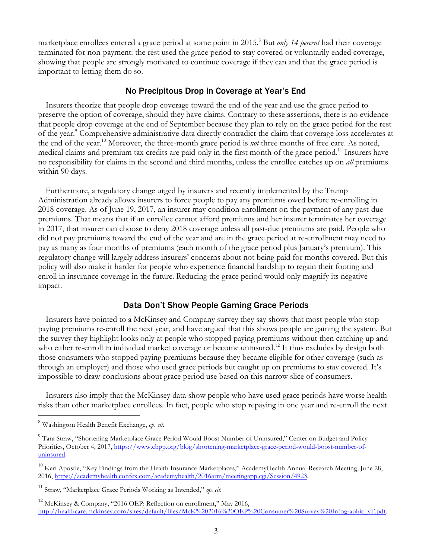marketplace enrollees entered a grace period at some point in 2015.<sup>8</sup> But *only 14 percent* had their coverage terminated for non-payment: the rest used the grace period to stay covered or voluntarily ended coverage, showing that people are strongly motivated to continue coverage if they can and that the grace period is important to letting them do so.

#### No Precipitous Drop in Coverage at Year's End

Insurers theorize that people drop coverage toward the end of the year and use the grace period to preserve the option of coverage, should they have claims. Contrary to these assertions, there is no evidence that people drop coverage at the end of September because they plan to rely on the grace period for the rest of the year.9 Comprehensive administrative data directly contradict the claim that coverage loss accelerates at the end of the year.<sup>10</sup> Moreover, the three-month grace period is *not* three months of free care. As noted, medical claims and premium tax credits are paid only in the first month of the grace period.<sup>11</sup> Insurers have no responsibility for claims in the second and third months, unless the enrollee catches up on *all* premiums within 90 days.

Furthermore, a regulatory change urged by insurers and recently implemented by the Trump Administration already allows insurers to force people to pay any premiums owed before re-enrolling in 2018 coverage. As of June 19, 2017, an insurer may condition enrollment on the payment of any past-due premiums. That means that if an enrollee cannot afford premiums and her insurer terminates her coverage in 2017, that insurer can choose to deny 2018 coverage unless all past-due premiums are paid. People who did not pay premiums toward the end of the year and are in the grace period at re-enrollment may need to pay as many as four months of premiums (each month of the grace period plus January's premium). This regulatory change will largely address insurers' concerns about not being paid for months covered. But this policy will also make it harder for people who experience financial hardship to regain their footing and enroll in insurance coverage in the future. Reducing the grace period would only magnify its negative impact.

#### Data Don't Show People Gaming Grace Periods

Insurers have pointed to a McKinsey and Company survey they say shows that most people who stop paying premiums re-enroll the next year, and have argued that this shows people are gaming the system. But the survey they highlight looks only at people who stopped paying premiums without then catching up and who either re-enroll in individual market coverage or become uninsured.<sup>12</sup> It thus excludes by design both those consumers who stopped paying premiums because they became eligible for other coverage (such as through an employer) and those who used grace periods but caught up on premiums to stay covered. It's impossible to draw conclusions about grace period use based on this narrow slice of consumers.

Insurers also imply that the McKinsey data show people who have used grace periods have worse health risks than other marketplace enrollees. In fact, people who stop repaying in one year and re-enroll the next

 <sup>8</sup> Washington Health Benefit Exchange, *op. cit*.

<sup>&</sup>lt;sup>9</sup> Tara Straw, "Shortening Marketplace Grace Period Would Boost Number of Uninsured," Center on Budget and Policy Priorities, October 4, 2017, https://www.cbpp.org/blog/shortening-marketplace-grace-period-would-boost-number-ofuninsured.

 $^{10}$  Keri Apostle, "Key Findings from the Health Insurance Marketplaces," AcademyHealth Annual Research Meeting, June 28, 2016, https://academyhealth.confex.com/academyhealth/2016arm/meetingapp.cgi/Session/4923.

<sup>11</sup> Straw, "Marketplace Grace Periods Working as Intended," *op. cit*.

 $12$  McKinsey & Company, "2016 OEP: Reflection on enrollment," May 2016, http://healthcare.mckinsey.com/sites/default/files/McK%202016%20OEP%20Consumer%20Survey%20Infographic\_vF.pdf.